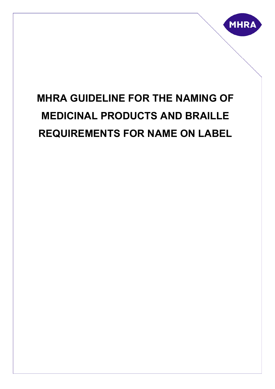

# **MHRA GUIDELINE FOR THE NAMING OF MEDICINAL PRODUCTS AND BRAILLE REQUIREMENTS FOR NAME ON LABEL**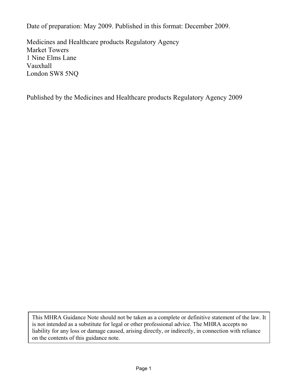Date of preparation: May 2009. Published in this format: December 2009.

Medicines and Healthcare products Regulatory Agency Market Towers 1 Nine Elms Lane Vauxhall London SW8 5NQ

Published by the Medicines and Healthcare products Regulatory Agency 2009

This MHRA Guidance Note should not be taken as a complete or definitive statement of the law. It is not intended as a substitute for legal or other professional advice. The MHRA accepts no liability for any loss or damage caused, arising directly, or indirectly, in connection with reliance on the contents of this guidance note.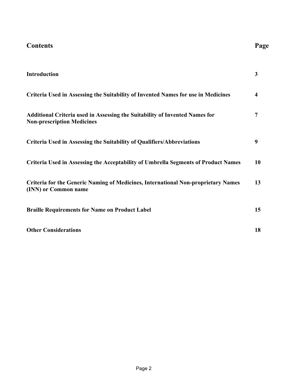| Page |
|------|
|      |

| <b>Introduction</b>                                                                                              | 3  |
|------------------------------------------------------------------------------------------------------------------|----|
| Criteria Used in Assessing the Suitability of Invented Names for use in Medicines                                | 4  |
| Additional Criteria used in Assessing the Suitability of Invented Names for<br><b>Non-prescription Medicines</b> | 7  |
| Criteria Used in Assessing the Suitability of Qualifiers/Abbreviations                                           | 9  |
| <b>Criteria Used in Assessing the Acceptability of Umbrella Segments of Product Names</b>                        | 10 |
| <b>Criteria for the Generic Naming of Medicines, International Non-proprietary Names</b><br>(INN) or Common name | 13 |
| <b>Braille Requirements for Name on Product Label</b>                                                            | 15 |
| <b>Other Considerations</b>                                                                                      | 18 |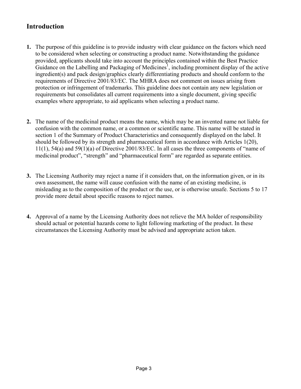# **Introduction**

- **1.** The purpose of this guideline is to provide industry with clear guidance on the factors which need to be considered when selecting or constructing a product name. Notwithstanding the guidance provided, applicants should take into account the principles contained within the Best Practice Guidance on the Labelling and Packaging of Medicines<sup>1</sup>, including prominent display of the active ingredient(s) and pack design/graphics clearly differentiating products and should conform to the requirements of Directive 2001/83/EC. The MHRA does not comment on issues arising from protection or infringement of trademarks. This guideline does not contain any new legislation or requirements but consolidates all current requirements into a single document, giving specific examples where appropriate, to aid applicants when selecting a product name.
- **2.** The name of the medicinal product means the name, which may be an invented name not liable for confusion with the common name, or a common or scientific name. This name will be stated in section 1 of the Summary of Product Characteristics and consequently displayed on the label. It should be followed by its strength and pharmaceutical form in accordance with Articles 1(20), 11(1), 54(a) and 59(1)(a) of Directive 2001/83/EC. In all cases the three components of "name of medicinal product", "strength" and "pharmaceutical form" are regarded as separate entities.
- **3.** The Licensing Authority may reject a name if it considers that, on the information given, or in its own assessment, the name will cause confusion with the name of an existing medicine, is misleading as to the composition of the product or the use, or is otherwise unsafe. Sections 5 to 17 provide more detail about specific reasons to reject names.
- **4.** Approval of a name by the Licensing Authority does not relieve the MA holder of responsibility should actual or potential hazards come to light following marketing of the product. In these circumstances the Licensing Authority must be advised and appropriate action taken.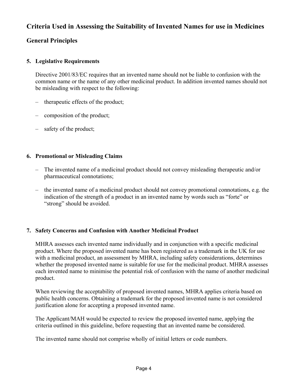# **Criteria Used in Assessing the Suitability of Invented Names for use in Medicines**

# **General Principles**

# **5. Legislative Requirements**

Directive 2001/83/EC requires that an invented name should not be liable to confusion with the common name or the name of any other medicinal product. In addition invented names should not be misleading with respect to the following:

- therapeutic effects of the product;
- composition of the product;
- safety of the product;

# **6. Promotional or Misleading Claims**

- The invented name of a medicinal product should not convey misleading therapeutic and/or pharmaceutical connotations;
- the invented name of a medicinal product should not convey promotional connotations, e.g. the indication of the strength of a product in an invented name by words such as "forte" or "strong" should be avoided.

# **7. Safety Concerns and Confusion with Another Medicinal Product**

MHRA assesses each invented name individually and in conjunction with a specific medicinal product. Where the proposed invented name has been registered as a trademark in the UK for use with a medicinal product, an assessment by MHRA, including safety considerations, determines whether the proposed invented name is suitable for use for the medicinal product. MHRA assesses each invented name to minimise the potential risk of confusion with the name of another medicinal product.

When reviewing the acceptability of proposed invented names, MHRA applies criteria based on public health concerns. Obtaining a trademark for the proposed invented name is not considered justification alone for accepting a proposed invented name.

The Applicant/MAH would be expected to review the proposed invented name, applying the criteria outlined in this guideline, before requesting that an invented name be considered.

The invented name should not comprise wholly of initial letters or code numbers.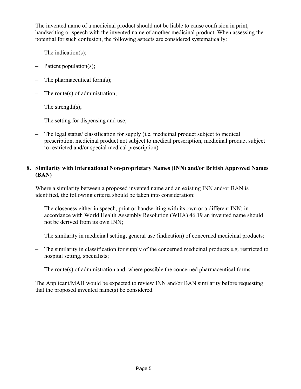The invented name of a medicinal product should not be liable to cause confusion in print, handwriting or speech with the invented name of another medicinal product. When assessing the potential for such confusion, the following aspects are considered systematically:

- The indication(s);
- Patient population(s);
- The pharmaceutical form $(s)$ ;
- The route $(s)$  of administration;
- The strength(s);
- The setting for dispensing and use;
- The legal status/ classification for supply (i.e. medicinal product subject to medical prescription, medicinal product not subject to medical prescription, medicinal product subject to restricted and/or special medical prescription).

# **8. Similarity with International Non-proprietary Names (INN) and/or British Approved Names (BAN)**

 Where a similarity between a proposed invented name and an existing INN and/or BAN is identified, the following criteria should be taken into consideration:

- The closeness either in speech, print or handwriting with its own or a different INN; in accordance with World Health Assembly Resolution (WHA) 46.19 an invented name should not be derived from its own INN;
- The similarity in medicinal setting, general use (indication) of concerned medicinal products;
- The similarity in classification for supply of the concerned medicinal products e.g. restricted to hospital setting, specialists;
- The route(s) of administration and, where possible the concerned pharmaceutical forms.

 The Applicant/MAH would be expected to review INN and/or BAN similarity before requesting that the proposed invented name(s) be considered.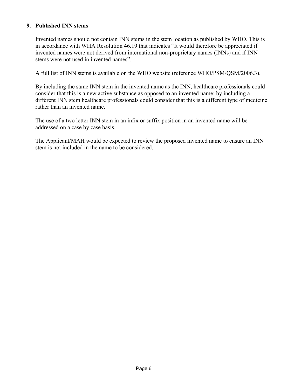# **9. Published INN stems**

Invented names should not contain INN stems in the stem location as published by WHO. This is in accordance with WHA Resolution 46.19 that indicates "It would therefore be appreciated if invented names were not derived from international non-proprietary names (INNs) and if INN stems were not used in invented names".

A full list of INN stems is available on the WHO website (reference WHO/PSM/QSM/2006.3).

By including the same INN stem in the invented name as the INN, healthcare professionals could consider that this is a new active substance as opposed to an invented name; by including a different INN stem healthcare professionals could consider that this is a different type of medicine rather than an invented name.

 The use of a two letter INN stem in an infix or suffix position in an invented name will be addressed on a case by case basis.

 The Applicant/MAH would be expected to review the proposed invented name to ensure an INN stem is not included in the name to be considered.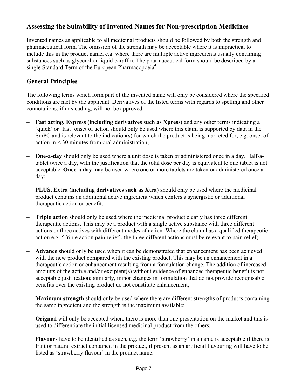# **Assessing the Suitability of Invented Names for Non-prescription Medicines**

Invented names as applicable to all medicinal products should be followed by both the strength and pharmaceutical form. The omission of the strength may be acceptable where it is impractical to include this in the product name, e.g. where there are multiple active ingredients usually containing substances such as glycerol or liquid paraffin. The pharmaceutical form should be described by a single Standard Term of the European Pharmacopoeia<sup>4</sup>.

# **General Principles**

The following terms which form part of the invented name will only be considered where the specified conditions are met by the applicant. Derivatives of the listed terms with regards to spelling and other connotations, if misleading, will not be approved:

- **Fast acting, Express (including derivatives such as Xpress)** and any other terms indicating a 'quick' or 'fast' onset of action should only be used where this claim is supported by data in the SmPC and is relevant to the indication(s) for which the product is being marketed for, e.g. onset of action in < 30 minutes from oral administration;
- **One-a-day** should only be used where a unit dose is taken or administered once in a day. Half-atablet twice a day, with the justification that the total dose per day is equivalent to one tablet is not acceptable. **Once-a day** may be used where one or more tablets are taken or administered once a day;
- **PLUS, Extra (including derivatives such as Xtra)** should only be used where the medicinal product contains an additional active ingredient which confers a synergistic or additional therapeutic action or benefit;
- **Triple action** should only be used where the medicinal product clearly has three different therapeutic actions. This may be a product with a single active substance with three different actions or three actives with different modes of action. Where the claim has a qualified therapeutic action e.g. 'Triple action pain relief', the three different actions must be relevant to pain relief;
- **Advance** should only be used when it can be demonstrated that enhancement has been achieved with the new product compared with the existing product. This may be an enhancement in a therapeutic action or enhancement resulting from a formulation change. The addition of increased amounts of the active and/or excipient(s) without evidence of enhanced therapeutic benefit is not acceptable justification; similarly, minor changes in formulation that do not provide recognisable benefits over the existing product do not constitute enhancement;
- **Maximum strength** should only be used where there are different strengths of products containing the same ingredient and the strength is the maximum available;
- **Original** will only be accepted where there is more than one presentation on the market and this is used to differentiate the initial licensed medicinal product from the others;
- **Flavours** have to be identified as such, e.g. the term 'strawberry' in a name is acceptable if there is fruit or natural extract contained in the product, if present as an artificial flavouring will have to be listed as 'strawberry flavour' in the product name.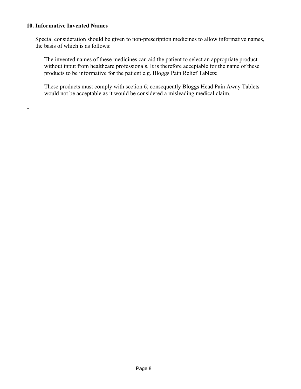#### **10. Informative Invented Names**

..

Special consideration should be given to non-prescription medicines to allow informative names, the basis of which is as follows:

- The invented names of these medicines can aid the patient to select an appropriate product without input from healthcare professionals. It is therefore acceptable for the name of these products to be informative for the patient e.g. Bloggs Pain Relief Tablets;
- These products must comply with section 6; consequently Bloggs Head Pain Away Tablets would not be acceptable as it would be considered a misleading medical claim.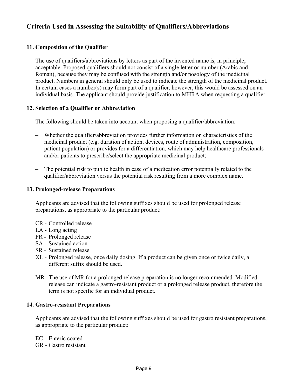# **Criteria Used in Assessing the Suitability of Qualifiers/Abbreviations**

# **11. Composition of the Qualifier**

The use of qualifiers/abbreviations by letters as part of the invented name is, in principle, acceptable. Proposed qualifiers should not consist of a single letter or number (Arabic and Roman), because they may be confused with the strength and/or posology of the medicinal product. Numbers in general should only be used to indicate the strength of the medicinal product. In certain cases a number(s) may form part of a qualifier, however, this would be assessed on an individual basis. The applicant should provide justification to MHRA when requesting a qualifier.

#### **12. Selection of a Qualifier or Abbreviation**

The following should be taken into account when proposing a qualifier/abbreviation:

- Whether the qualifier/abbreviation provides further information on characteristics of the medicinal product (e.g. duration of action, devices, route of administration, composition, patient population) or provides for a differentiation, which may help healthcare professionals and/or patients to prescribe/select the appropriate medicinal product;
- The potential risk to public health in case of a medication error potentially related to the qualifier/abbreviation versus the potential risk resulting from a more complex name.

#### **13. Prolonged-release Preparations**

 Applicants are advised that the following suffixes should be used for prolonged release preparations, as appropriate to the particular product:

- CR Controlled release
- LA Long acting
- PR Prolonged release
- SA Sustained action
- SR Sustained release
- XL Prolonged release, once daily dosing. If a product can be given once or twice daily, a different suffix should be used.
- MR The use of MR for a prolonged release preparation is no longer recommended. Modified release can indicate a gastro-resistant product or a prolonged release product, therefore the term is not specific for an individual product.

#### **14. Gastro-resistant Preparations**

 Applicants are advised that the following suffixes should be used for gastro resistant preparations, as appropriate to the particular product:

EC - Enteric coated GR - Gastro resistant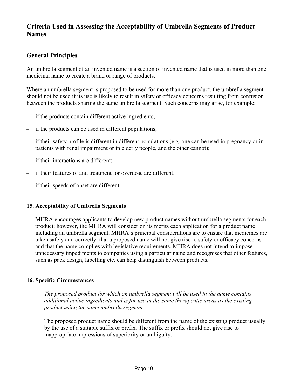# **Criteria Used in Assessing the Acceptability of Umbrella Segments of Product Names**

# **General Principles**

An umbrella segment of an invented name is a section of invented name that is used in more than one medicinal name to create a brand or range of products.

Where an umbrella segment is proposed to be used for more than one product, the umbrella segment should not be used if its use is likely to result in safety or efficacy concerns resulting from confusion between the products sharing the same umbrella segment. Such concerns may arise, for example:

- if the products contain different active ingredients;
- if the products can be used in different populations;
- if their safety profile is different in different populations (e.g. one can be used in pregnancy or in patients with renal impairment or in elderly people, and the other cannot);
- if their interactions are different;
- if their features of and treatment for overdose are different;
- if their speeds of onset are different.

# **15. Acceptability of Umbrella Segments**

MHRA encourages applicants to develop new product names without umbrella segments for each product; however, the MHRA will consider on its merits each application for a product name including an umbrella segment. MHRA's principal considerations are to ensure that medicines are taken safely and correctly, that a proposed name will not give rise to safety or efficacy concerns and that the name complies with legislative requirements. MHRA does not intend to impose unnecessary impediments to companies using a particular name and recognises that other features, such as pack design, labelling etc. can help distinguish between products.

# **16. Specific Circumstances**

– *The proposed product for which an umbrella segment will be used in the name contains additional active ingredients and is for use in the same therapeutic areas as the existing product using the same umbrella segment.*

The proposed product name should be different from the name of the existing product usually by the use of a suitable suffix or prefix. The suffix or prefix should not give rise to inappropriate impressions of superiority or ambiguity.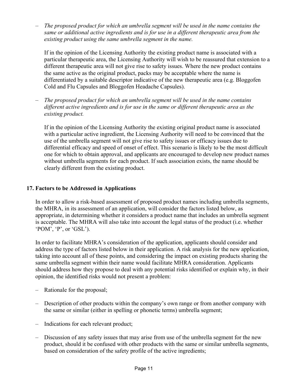– *The proposed product for which an umbrella segment will be used in the name contains the same or additional active ingredients and is for use in a different therapeutic area from the existing product using the same umbrella segment in the name.*

If in the opinion of the Licensing Authority the existing product name is associated with a particular therapeutic area, the Licensing Authority will wish to be reassured that extension to a different therapeutic area will not give rise to safety issues. Where the new product contains the same active as the original product, packs may be acceptable where the name is differentiated by a suitable descriptor indicative of the new therapeutic area (e.g. Bloggofen Cold and Flu Capsules and Bloggofen Headache Capsules).

– *The proposed product for which an umbrella segment will be used in the name contains different active ingredients and is for use in the same or different therapeutic area as the existing product.*

If in the opinion of the Licensing Authority the existing original product name is associated with a particular active ingredient, the Licensing Authority will need to be convinced that the use of the umbrella segment will not give rise to safety issues or efficacy issues due to differential efficacy and speed of onset of effect. This scenario is likely to be the most difficult one for which to obtain approval, and applicants are encouraged to develop new product names without umbrella segments for each product. If such association exists, the name should be clearly different from the existing product.

# **17. Factors to be Addressed in Applications**

 In order to allow a risk-based assessment of proposed product names including umbrella segments, the MHRA, in its assessment of an application, will consider the factors listed below, as appropriate, in determining whether it considers a product name that includes an umbrella segment is acceptable. The MHRA will also take into account the legal status of the product (i.e. whether 'POM', 'P', or 'GSL').

In order to facilitate MHRA's consideration of the application, applicants should consider and address the type of factors listed below in their application. A risk analysis for the new application, taking into account all of these points, and considering the impact on existing products sharing the same umbrella segment within their name would facilitate MHRA consideration. Applicants should address how they propose to deal with any potential risks identified or explain why, in their opinion, the identified risks would not present a problem:

- Rationale for the proposal;
- Description of other products within the company's own range or from another company with the same or similar (either in spelling or phonetic terms) umbrella segment;
- Indications for each relevant product;
- Discussion of any safety issues that may arise from use of the umbrella segment for the new product, should it be confused with other products with the same or similar umbrella segments, based on consideration of the safety profile of the active ingredients;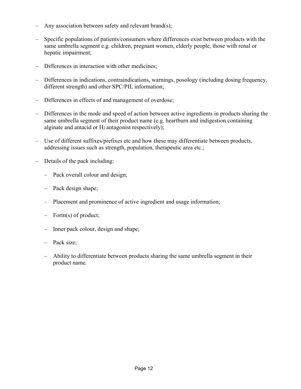- Any association between safety and relevant brand(s);
- Specific populations of patients/consumers where differences exist between products with the same umbrella segment e.g. children, pregnant women, elderly people, those with renal or hepatic impairment;
- Differences in interaction with other medicines;
- Differences in indications, contraindications, warnings, posology (including dosing frequency, different strength) and other SPC/PIL information;
- Differences in effects of and management of overdose;
- Differences in the mode and speed of action between active ingredients in products sharing the same umbrella segment of their product name (e.g. heartburn and indigestion containing alginate and antacid or H2 antagonist respectively);
- Use of different suffixes/prefixes etc and how these may differentiate between products, addressing issues such as strength, population, therapeutic area etc.;
- Details of the pack including:
	- Pack overall colour and design;
	- Pack design shape;
	- Placement and prominence of active ingredient and usage information;
	- Form(s) of product;
	- Inner pack colour, design and shape;
	- Pack size;
	- Ability to differentiate between products sharing the same umbrella segment in their product name.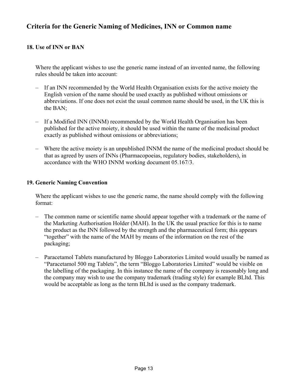# **Criteria for the Generic Naming of Medicines, INN or Common name**

# **18. Use of INN or BAN**

Where the applicant wishes to use the generic name instead of an invented name, the following rules should be taken into account:

- If an INN recommended by the World Health Organisation exists for the active moiety the English version of the name should be used exactly as published without omissions or abbreviations. If one does not exist the usual common name should be used, in the UK this is the BAN;
- If a Modified INN (INNM) recommended by the World Health Organisation has been published for the active moiety, it should be used within the name of the medicinal product exactly as published without omissions or abbreviations;
- Where the active moiety is an unpublished INNM the name of the medicinal product should be that as agreed by users of INNs (Pharmacopoeias, regulatory bodies, stakeholders), in accordance with the WHO INNM working document 05.167/3.

# **19. Generic Naming Convention**

 Where the applicant wishes to use the generic name, the name should comply with the following format:

- The common name or scientific name should appear together with a trademark or the name of the Marketing Authorisation Holder (MAH). In the UK the usual practice for this is to name the product as the INN followed by the strength and the pharmaceutical form; this appears "together" with the name of the MAH by means of the information on the rest of the packaging;
- Paracetamol Tablets manufactured by Bloggo Laboratories Limited would usually be named as "Paracetamol 500 mg Tablets", the term "Bloggo Laboratories Limited" would be visible on the labelling of the packaging. In this instance the name of the company is reasonably long and the company may wish to use the company trademark (trading style) for example BLltd. This would be acceptable as long as the term BLltd is used as the company trademark.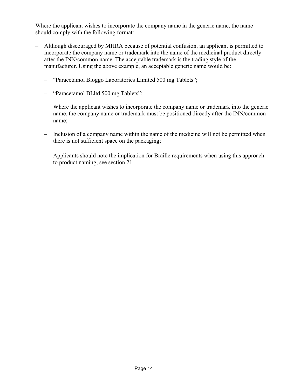Where the applicant wishes to incorporate the company name in the generic name, the name should comply with the following format:

- Although discouraged by MHRA because of potential confusion, an applicant is permitted to incorporate the company name or trademark into the name of the medicinal product directly after the INN/common name. The acceptable trademark is the trading style of the manufacturer. Using the above example, an acceptable generic name would be:
	- "Paracetamol Bloggo Laboratories Limited 500 mg Tablets";
	- "Paracetamol BLltd 500 mg Tablets";
	- Where the applicant wishes to incorporate the company name or trademark into the generic name, the company name or trademark must be positioned directly after the INN/common name;
	- Inclusion of a company name within the name of the medicine will not be permitted when there is not sufficient space on the packaging;
	- Applicants should note the implication for Braille requirements when using this approach to product naming, see section 21.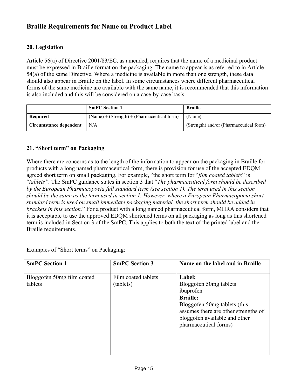# **Braille Requirements for Name on Product Label**

#### **20. Legislation**

Article 56(a) of Directive 2001/83/EC, as amended, requires that the name of a medicinal product must be expressed in Braille format on the packaging. The name to appear is as referred to in Article 54(a) of the same Directive. Where a medicine is available in more than one strength, these data should also appear in Braille on the label. In some circumstances where different pharmaceutical forms of the same medicine are available with the same name, it is recommended that this information is also included and this will be considered on a case-by-case basis.

|                        | <b>SmPC Section 1</b>                        | <b>Braille</b>                          |
|------------------------|----------------------------------------------|-----------------------------------------|
| Required               | $(Name) + (Strength) + (Pharmacutical form)$ | (Name)                                  |
| Circumstance dependent | N/A                                          | (Strength) and/or (Pharmaceutical form) |

#### **21. "Short term" on Packaging**

Where there are concerns as to the length of the information to appear on the packaging in Braille for products with a long named pharmaceutical form, there is provision for use of the accepted EDQM agreed short term on small packaging. For example, "the short term for "*film coated tablets*" is "*tablets"*. The SmPC guidance states in section 3 that "*The pharmaceutical form should be described by the European Pharmacopoeia full standard term (see section 1). The term used in this section should be the same as the term used in section 1. However, where a European Pharmacopoeia short standard term is used on small immediate packaging material, the short term should be added in brackets in this section.*" For a product with a long named pharmaceutical form, MHRA considers that it is acceptable to use the approved EDQM shortened terms on all packaging as long as this shortened term is included in Section 3 of the SmPC. This applies to both the text of the printed label and the Braille requirements.

Examples of "Short terms" on Packaging:

| <b>SmPC Section 1</b>                 | <b>SmPC Section 3</b>            | Name on the label and in Braille                                                                                                                                                                   |
|---------------------------------------|----------------------------------|----------------------------------------------------------------------------------------------------------------------------------------------------------------------------------------------------|
| Bloggofen 50mg film coated<br>tablets | Film coated tablets<br>(tablets) | Label:<br>Bloggofen 50mg tablets<br>ibuprofen<br><b>Braille:</b><br>Bloggofen 50mg tablets (this<br>assumes there are other strengths of<br>bloggofen available and other<br>pharmaceutical forms) |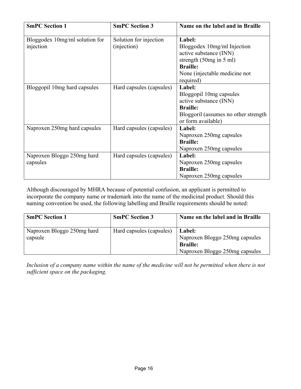| <b>SmPC Section 1</b>                       | <b>SmPC Section 3</b>                 | Name on the label and in Braille                                                                                                                                               |
|---------------------------------------------|---------------------------------------|--------------------------------------------------------------------------------------------------------------------------------------------------------------------------------|
| Bloggodex 10mg/ml solution for<br>injection | Solution for injection<br>(injection) | Label:<br>Bloggodex 10mg/ml Injection<br>active substance (INN)<br>strength $(50mg \text{ in } 5 \text{ ml})$<br><b>Braille:</b><br>None (injectable medicine not<br>required) |
| Bloggopil 10mg hard capsules                | Hard capsules (capsules)              | Label:<br>Bloggopil 10mg capsules<br>active substance (INN)<br><b>Braille:</b><br>Bloggoril (assumes no other strength<br>or form available)                                   |
| Naproxen 250mg hard capsules                | Hard capsules (capsules)              | Label:<br>Naproxen 250mg capsules<br><b>Braille:</b><br>Naproxen 250mg capsules                                                                                                |
| Naproxen Bloggo 250mg hard<br>capsules      | Hard capsules (capsules)              | Label:<br>Naproxen 250mg capsules<br><b>Braille:</b><br>Naproxen 250mg capsules                                                                                                |

Although discouraged by MHRA because of potential confusion, an applicant is permitted to incorporate the company name or trademark into the name of the medicinal product. Should this naming convention be used, the following labelling and Braille requirements should be noted:

| <b>SmPC Section 1</b>                 | <b>SmPC Section 3</b>    | Name on the label and in Braille                                                                     |
|---------------------------------------|--------------------------|------------------------------------------------------------------------------------------------------|
| Naproxen Bloggo 250mg hard<br>capsule | Hard capsules (capsules) | <b>Label:</b><br>Naproxen Bloggo 250mg capsules<br><b>Braille:</b><br>Naproxen Bloggo 250mg capsules |

*Inclusion of a company name within the name of the medicine will not be permitted when there is not sufficient space on the packaging.*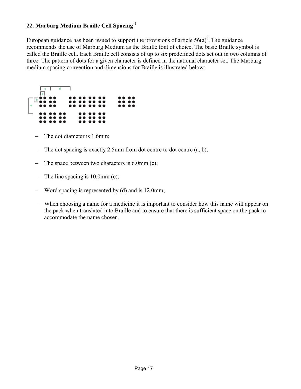# **22. Marburg Medium Braille Cell Spacing 5**

European guidance has been issued to support the provisions of article  $56(a)^3$ . The guidance recommends the use of Marburg Medium as the Braille font of choice. The basic Braille symbol is called the Braille cell. Each Braille cell consists of up to six predefined dots set out in two columns of three. The pattern of dots for a given character is defined in the national character set. The Marburg medium spacing convention and dimensions for Braille is illustrated below:



- The dot diameter is 1.6mm;
- The dot spacing is exactly 2.5mm from dot centre to dot centre  $(a, b)$ ;
- The space between two characters is  $6.0$ mm (c);
- The line spacing is 10.0mm (e);
- Word spacing is represented by (d) and is 12.0mm;
- When choosing a name for a medicine it is important to consider how this name will appear on the pack when translated into Braille and to ensure that there is sufficient space on the pack to accommodate the name chosen.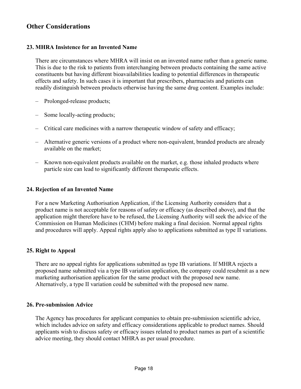# **Other Considerations**

#### **23. MHRA Insistence for an Invented Name**

There are circumstances where MHRA will insist on an invented name rather than a generic name. This is due to the risk to patients from interchanging between products containing the same active constituents but having different bioavailabilities leading to potential differences in therapeutic effects and safety. In such cases it is important that prescribers, pharmacists and patients can readily distinguish between products otherwise having the same drug content. Examples include:

- Prolonged-release products;
- Some locally-acting products;
- Critical care medicines with a narrow therapeutic window of safety and efficacy;
- Alternative generic versions of a product where non-equivalent, branded products are already available on the market;
- Known non-equivalent products available on the market, e.g. those inhaled products where particle size can lead to significantly different therapeutic effects.

#### **24. Rejection of an Invented Name**

For a new Marketing Authorisation Application, if the Licensing Authority considers that a product name is not acceptable for reasons of safety or efficacy (as described above), and that the application might therefore have to be refused, the Licensing Authority will seek the advice of the Commission on Human Medicines (CHM) before making a final decision. Normal appeal rights and procedures will apply. Appeal rights apply also to applications submitted as type II variations.

#### **25. Right to Appeal**

There are no appeal rights for applications submitted as type IB variations. If MHRA rejects a proposed name submitted via a type IB variation application, the company could resubmit as a new marketing authorisation application for the same product with the proposed new name. Alternatively, a type II variation could be submitted with the proposed new name.

#### **26. Pre-submission Advice**

The Agency has procedures for applicant companies to obtain pre-submission scientific advice, which includes advice on safety and efficacy considerations applicable to product names. Should applicants wish to discuss safety or efficacy issues related to product names as part of a scientific advice meeting, they should contact MHRA as per usual procedure.